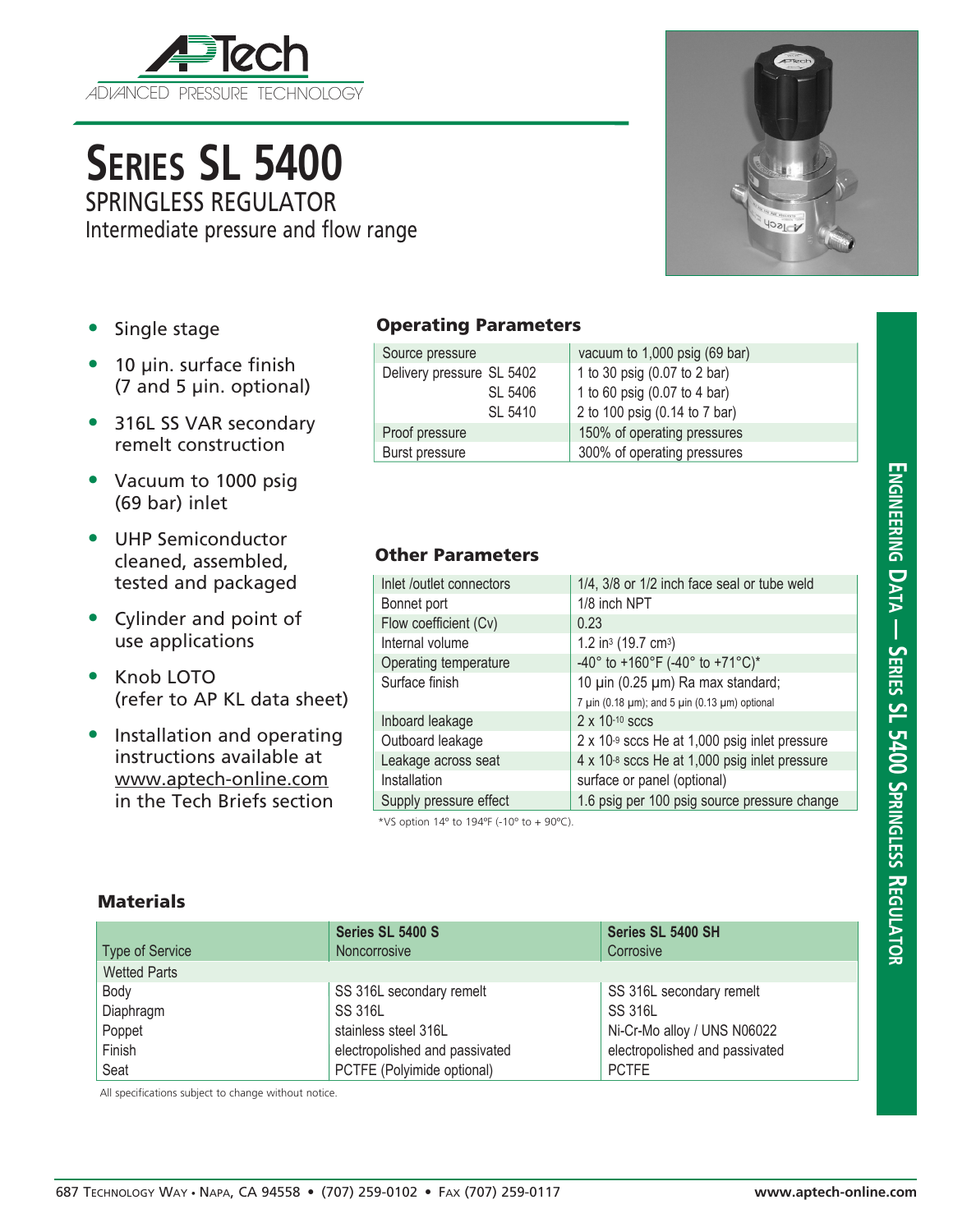

# **Series SL 5400** SPRINGLESS REGULATOR

Intermediate pressure and flow range

**YOBLE** 

- Single stage
- 10 µin. surface finish (7 and 5 µin. optional)
- 316L SS VAR secondary remelt construction
- Vacuum to 1000 psig (69 bar) inlet
- UHP Semiconductor cleaned, assembled, tested and packaged
- Cylinder and point of use applications
- Knob LOTO (refer to AP KL data sheet)
- Installation and operating instructions available at www.aptech-online.com in the Tech Briefs section

### Operating Parameters

| Source pressure           | vacuum to 1,000 psig (69 bar) |  |
|---------------------------|-------------------------------|--|
| Delivery pressure SL 5402 | 1 to 30 psig (0.07 to 2 bar)  |  |
| SL 5406                   | 1 to 60 psig (0.07 to 4 bar)  |  |
| SL 5410                   | 2 to 100 psig (0.14 to 7 bar) |  |
| Proof pressure            | 150% of operating pressures   |  |
| Burst pressure            | 300% of operating pressures   |  |

## Other Parameters

| Inlet /outlet connectors            | 1/4, 3/8 or 1/2 inch face seal or tube weld                       |  |  |  |
|-------------------------------------|-------------------------------------------------------------------|--|--|--|
| Bonnet port                         | 1/8 inch NPT                                                      |  |  |  |
| Flow coefficient (Cv)               | 0.23                                                              |  |  |  |
| Internal volume                     | 1.2 in <sup>3</sup> (19.7 cm <sup>3</sup> )                       |  |  |  |
| Operating temperature               | -40° to +160°F (-40° to +71°C)*                                   |  |  |  |
| Surface finish                      | 10 µin (0.25 µm) Ra max standard;                                 |  |  |  |
|                                     | 7 $\mu$ in (0.18 $\mu$ m); and 5 $\mu$ in (0.13 $\mu$ m) optional |  |  |  |
| Inboard leakage                     | $2 \times 10^{-10}$ sccs                                          |  |  |  |
| Outboard leakage                    | $2 \times 10^{-9}$ sccs He at 1,000 psig inlet pressure           |  |  |  |
| Leakage across seat                 | $4 \times 10^{-8}$ sccs He at 1,000 psig inlet pressure           |  |  |  |
| Installation                        | surface or panel (optional)                                       |  |  |  |
| Supply pressure effect              | 1.6 psig per 100 psig source pressure change                      |  |  |  |
| $+10$ $-11$ $-101$ $+1010$ $(1001)$ |                                                                   |  |  |  |

\*VS option 14º to 194ºF (-10º to + 90ºC).

#### **Materials**

| Type of Service     | Series SL 5400 S<br><b>Noncorrosive</b> | Series SL 5400 SH<br>Corrosive |
|---------------------|-----------------------------------------|--------------------------------|
| <b>Wetted Parts</b> |                                         |                                |
| Body                | SS 316L secondary remelt                | SS 316L secondary remelt       |
| Diaphragm           | <b>SS 316L</b>                          | <b>SS 316L</b>                 |
| Poppet              | stainless steel 316L                    | Ni-Cr-Mo alloy / UNS N06022    |
| Finish              | electropolished and passivated          | electropolished and passivated |
| Seat                | PCTFE (Polyimide optional)              | <b>PCTFE</b>                   |

All specifications subject to change without notice.